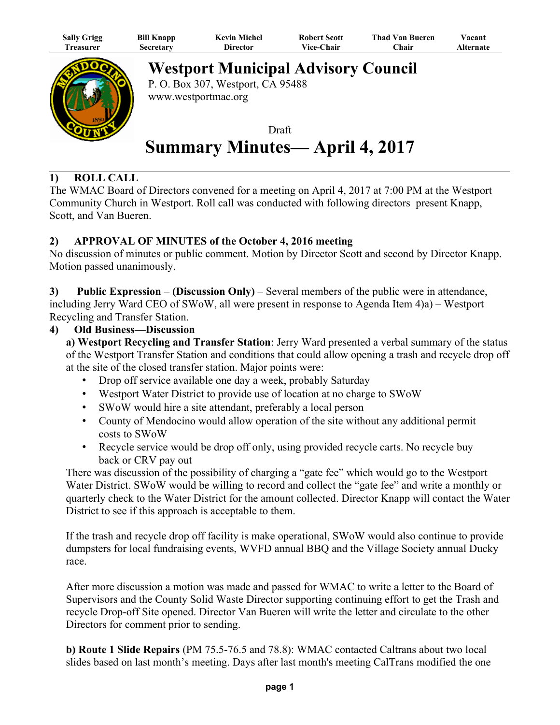| <b>Sally Grigg</b> | <b>Bill Knapp</b> | <b>Kevin Michel</b> | <b>Robert Scott</b> | <b>Thad Van Bueren</b> | Vacant           |
|--------------------|-------------------|---------------------|---------------------|------------------------|------------------|
| 1 reasurer         | Secretary         | Director            | <b>Vice-Chair</b>   | ∑hair                  | <b>Alternate</b> |



**Westport Municipal Advisory Council**

P. O. Box 307, Westport, CA 95488 www.westportmac.org

Draft **Summary Minutes— April 4, 2017**

## **1) ROLL CALL**

The WMAC Board of Directors convened for a meeting on April 4, 2017 at 7:00 PM at the Westport Community Church in Westport. Roll call was conducted with following directors present Knapp, Scott, and Van Bueren.

### **2) APPROVAL OF MINUTES of the October 4, 2016 meeting**

No discussion of minutes or public comment. Motion by Director Scott and second by Director Knapp. Motion passed unanimously.

**3) Public Expression** – **(Discussion Only)** – Several members of the public were in attendance, including Jerry Ward CEO of SWoW, all were present in response to Agenda Item 4)a) – Westport Recycling and Transfer Station.

#### **4) Old Business—Discussion**

**a) Westport Recycling and Transfer Station**: Jerry Ward presented a verbal summary of the status of the Westport Transfer Station and conditions that could allow opening a trash and recycle drop off at the site of the closed transfer station. Major points were:

- Drop off service available one day a week, probably Saturday
- Westport Water District to provide use of location at no charge to SWoW
- SWoW would hire a site attendant, preferably a local person
- County of Mendocino would allow operation of the site without any additional permit costs to SWoW
- Recycle service would be drop off only, using provided recycle carts. No recycle buy back or CRV pay out

There was discussion of the possibility of charging a "gate fee" which would go to the Westport Water District. SWoW would be willing to record and collect the "gate fee" and write a monthly or quarterly check to the Water District for the amount collected. Director Knapp will contact the Water District to see if this approach is acceptable to them.

If the trash and recycle drop off facility is make operational, SWoW would also continue to provide dumpsters for local fundraising events, WVFD annual BBQ and the Village Society annual Ducky race.

After more discussion a motion was made and passed for WMAC to write a letter to the Board of Supervisors and the County Solid Waste Director supporting continuing effort to get the Trash and recycle Drop-off Site opened. Director Van Bueren will write the letter and circulate to the other Directors for comment prior to sending.

**b) Route 1 Slide Repairs** (PM 75.5-76.5 and 78.8): WMAC contacted Caltrans about two local slides based on last month's meeting. Days after last month's meeting CalTrans modified the one